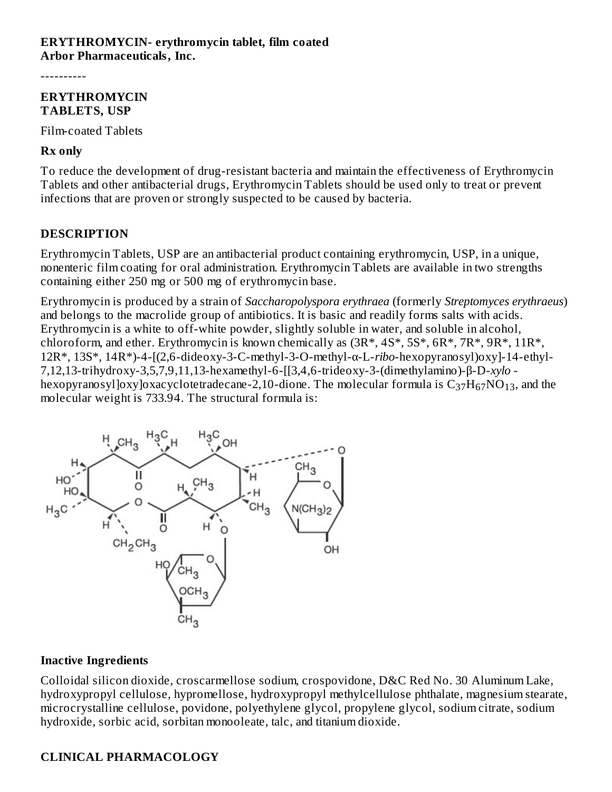#### **ERYTHROMYCIN- erythromycin tablet, film coated Arbor Pharmaceuticals, Inc.**

----------

#### **ERYTHROMYCIN TABLETS, USP**

Film-coated Tablets

#### **Rx only**

To reduce the development of drug-resistant bacteria and maintain the effectiveness of Erythromycin Tablets and other antibacterial drugs, Erythromycin Tablets should be used only to treat or prevent infections that are proven or strongly suspected to be caused by bacteria.

# **DESCRIPTION**

Erythromycin Tablets, USP are an antibacterial product containing erythromycin, USP, in a unique, nonenteric film coating for oral administration. Erythromycin Tablets are available in two strengths containing either 250 mg or 500 mg of erythromycin base.

Erythromycin is produced by a strain of *Saccharopolyspora erythraea* (formerly *Streptomyces erythraeus*) and belongs to the macrolide group of antibiotics. It is basic and readily forms salts with acids. Erythromycin is a white to off-white powder, slightly soluble in water, and soluble in alcohol, chloroform, and ether. Erythromycin is known chemically as  $(3R^*, 4S^*, 5S^*, 6R^*, 7R^*, 9R^*, 11R^*,$ 12R\*, 13S\*, 14R\*)-4-[(2,6-dideoxy-3-C-methyl-3-O-methyl-α-L-*ribo*-hexopyranosyl)oxy]-14-ethyl-7,12,13-trihydroxy-3,5,7,9,11,13-hexamethyl-6-[[3,4,6-trideoxy-3-(dimethylamino)-β-D-*xylo* hexopyranosyl]oxy]oxacyclotetradecane-2,10-dione. The molecular formula is  $\rm{C_{37}H_{67}NO_{13}}$ , and the molecular weight is 733.94. The structural formula is:



#### **Inactive Ingredients**

Colloidal silicon dioxide, croscarmellose sodium, crospovidone, D&C Red No. 30 Aluminum Lake, hydroxypropyl cellulose, hypromellose, hydroxypropyl methylcellulose phthalate, magnesium stearate, microcrystalline cellulose, povidone, polyethylene glycol, propylene glycol, sodium citrate, sodium hydroxide, sorbic acid, sorbitan monooleate, talc, and titanium dioxide.

# **CLINICAL PHARMACOLOGY**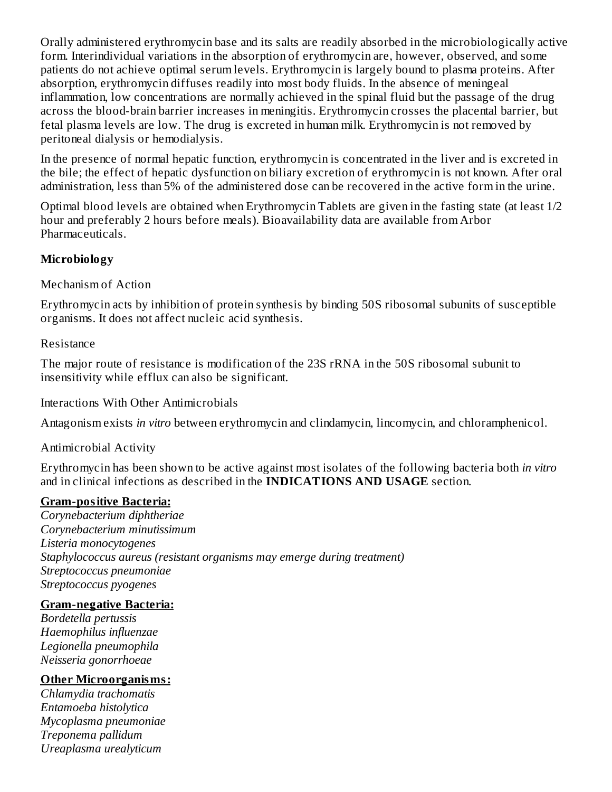Orally administered erythromycin base and its salts are readily absorbed in the microbiologically active form. Interindividual variations in the absorption of erythromycin are, however, observed, and some patients do not achieve optimal serum levels. Erythromycin is largely bound to plasma proteins. After absorption, erythromycin diffuses readily into most body fluids. In the absence of meningeal inflammation, low concentrations are normally achieved in the spinal fluid but the passage of the drug across the blood-brain barrier increases in meningitis. Erythromycin crosses the placental barrier, but fetal plasma levels are low. The drug is excreted in human milk. Erythromycin is not removed by peritoneal dialysis or hemodialysis.

In the presence of normal hepatic function, erythromycin is concentrated in the liver and is excreted in the bile; the effect of hepatic dysfunction on biliary excretion of erythromycin is not known. After oral administration, less than 5% of the administered dose can be recovered in the active form in the urine.

Optimal blood levels are obtained when Erythromycin Tablets are given in the fasting state (at least 1/2 hour and preferably 2 hours before meals). Bioavailability data are available from Arbor Pharmaceuticals.

#### **Microbiology**

Mechanism of Action

Erythromycin acts by inhibition of protein synthesis by binding 50S ribosomal subunits of susceptible organisms. It does not affect nucleic acid synthesis.

#### Resistance

The major route of resistance is modification of the 23S rRNA in the 50S ribosomal subunit to insensitivity while efflux can also be significant.

Interactions With Other Antimicrobials

Antagonism exists *in vitro* between erythromycin and clindamycin, lincomycin, and chloramphenicol.

Antimicrobial Activity

Erythromycin has been shown to be active against most isolates of the following bacteria both *in vitro* and in clinical infections as described in the **INDICATIONS AND USAGE** section.

#### **Gram-positive Bacteria:**

*Corynebacterium diphtheriae Corynebacterium minutissimum Listeria monocytogenes Staphylococcus aureus (resistant organisms may emerge during treatment) Streptococcus pneumoniae Streptococcus pyogenes*

#### **Gram-negative Bacteria:**

*Bordetella pertussis Haemophilus influenzae Legionella pneumophila Neisseria gonorrhoeae*

#### **Other Microorganisms:**

*Chlamydia trachomatis Entamoeba histolytica Mycoplasma pneumoniae Treponema pallidum Ureaplasma urealyticum*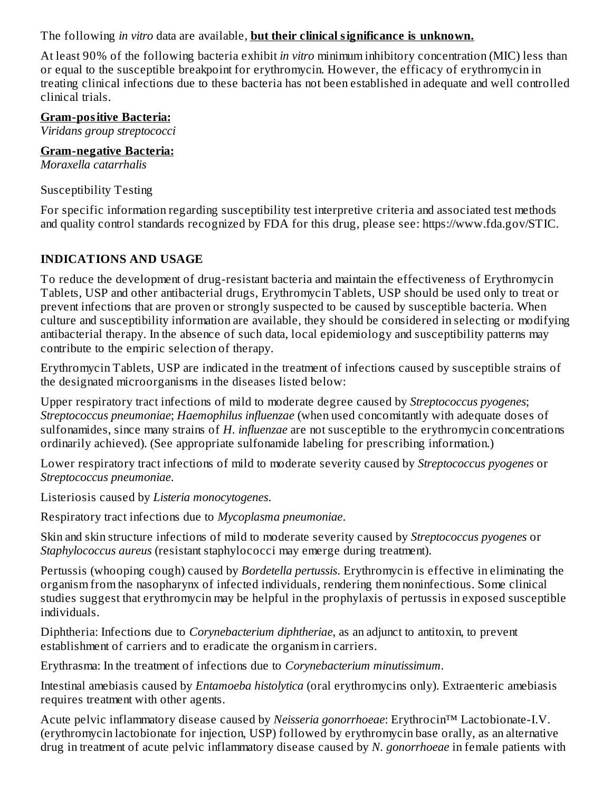The following *in vitro* data are available, **but their clinical significance is unknown.**

At least 90% of the following bacteria exhibit *in vitro* minimum inhibitory concentration (MIC) less than or equal to the susceptible breakpoint for erythromycin. However, the efficacy of erythromycin in treating clinical infections due to these bacteria has not been established in adequate and well controlled clinical trials.

#### **Gram-positive Bacteria:**

*Viridans group streptococci*

#### **Gram-negative Bacteria:**

*Moraxella catarrhalis*

Susceptibility Testing

For specific information regarding susceptibility test interpretive criteria and associated test methods and quality control standards recognized by FDA for this drug, please see: https://www.fda.gov/STIC.

#### **INDICATIONS AND USAGE**

To reduce the development of drug-resistant bacteria and maintain the effectiveness of Erythromycin Tablets, USP and other antibacterial drugs, Erythromycin Tablets, USP should be used only to treat or prevent infections that are proven or strongly suspected to be caused by susceptible bacteria. When culture and susceptibility information are available, they should be considered in selecting or modifying antibacterial therapy. In the absence of such data, local epidemiology and susceptibility patterns may contribute to the empiric selection of therapy.

Erythromycin Tablets, USP are indicated in the treatment of infections caused by susceptible strains of the designated microorganisms in the diseases listed below:

Upper respiratory tract infections of mild to moderate degree caused by *Streptococcus pyogenes*; *Streptococcus pneumoniae*; *Haemophilus influenzae* (when used concomitantly with adequate doses of sulfonamides, since many strains of *H. influenzae* are not susceptible to the erythromycin concentrations ordinarily achieved). (See appropriate sulfonamide labeling for prescribing information.)

Lower respiratory tract infections of mild to moderate severity caused by *Streptococcus pyogenes* or *Streptococcus pneumoniae*.

Listeriosis caused by *Listeria monocytogenes*.

Respiratory tract infections due to *Mycoplasma pneumoniae*.

Skin and skin structure infections of mild to moderate severity caused by *Streptococcus pyogenes* or *Staphylococcus aureus* (resistant staphylococci may emerge during treatment).

Pertussis (whooping cough) caused by *Bordetella pertussis*. Erythromycin is effective in eliminating the organism from the nasopharynx of infected individuals, rendering them noninfectious. Some clinical studies suggest that erythromycin may be helpful in the prophylaxis of pertussis in exposed susceptible individuals.

Diphtheria: Infections due to *Corynebacterium diphtheriae*, as an adjunct to antitoxin, to prevent establishment of carriers and to eradicate the organism in carriers.

Erythrasma: In the treatment of infections due to *Corynebacterium minutissimum*.

Intestinal amebiasis caused by *Entamoeba histolytica* (oral erythromycins only). Extraenteric amebiasis requires treatment with other agents.

Acute pelvic inflammatory disease caused by *Neisseria gonorrhoeae*: Erythrocin™ Lactobionate-I.V. (erythromycin lactobionate for injection, USP) followed by erythromycin base orally, as an alternative drug in treatment of acute pelvic inflammatory disease caused by *N. gonorrhoeae* in female patients with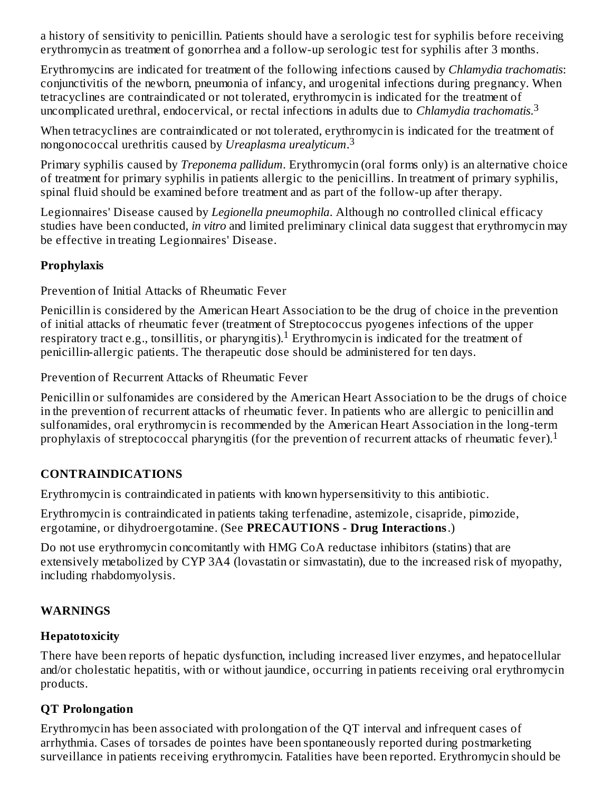a history of sensitivity to penicillin. Patients should have a serologic test for syphilis before receiving erythromycin as treatment of gonorrhea and a follow-up serologic test for syphilis after 3 months.

Erythromycins are indicated for treatment of the following infections caused by *Chlamydia trachomatis*: conjunctivitis of the newborn, pneumonia of infancy, and urogenital infections during pregnancy. When tetracyclines are contraindicated or not tolerated, erythromycin is indicated for the treatment of uncomplicated urethral, endocervical, or rectal infections in adults due to *Chlamydia trachomatis*. 3

When tetracyclines are contraindicated or not tolerated, erythromycin is indicated for the treatment of nongonococcal urethritis caused by *Ureaplasma urealyticum*. 3

Primary syphilis caused by *Treponema pallidum*. Erythromycin (oral forms only) is an alternative choice of treatment for primary syphilis in patients allergic to the penicillins. In treatment of primary syphilis, spinal fluid should be examined before treatment and as part of the follow-up after therapy.

Legionnaires' Disease caused by *Legionella pneumophila*. Although no controlled clinical efficacy studies have been conducted, *in vitro* and limited preliminary clinical data suggest that erythromycin may be effective in treating Legionnaires' Disease.

#### **Prophylaxis**

Prevention of Initial Attacks of Rheumatic Fever

Penicillin is considered by the American Heart Association to be the drug of choice in the prevention of initial attacks of rheumatic fever (treatment of Streptococcus pyogenes infections of the upper respiratory tract e.g., tonsillitis, or pharyngitis).<sup>1</sup> Erythromycin is indicated for the treatment of penicillin-allergic patients. The therapeutic dose should be administered for ten days.

Prevention of Recurrent Attacks of Rheumatic Fever

Penicillin or sulfonamides are considered by the American Heart Association to be the drugs of choice in the prevention of recurrent attacks of rheumatic fever. In patients who are allergic to penicillin and sulfonamides, oral erythromycin is recommended by the American Heart Association in the long-term prophylaxis of streptococcal pharyngitis (for the prevention of recurrent attacks of rheumatic fever).<sup>1</sup>

# **CONTRAINDICATIONS**

Erythromycin is contraindicated in patients with known hypersensitivity to this antibiotic.

Erythromycin is contraindicated in patients taking terfenadine, astemizole, cisapride, pimozide, ergotamine, or dihydroergotamine. (See **PRECAUTIONS - Drug Interactions**.)

Do not use erythromycin concomitantly with HMG CoA reductase inhibitors (statins) that are extensively metabolized by CYP 3A4 (lovastatin or simvastatin), due to the increased risk of myopathy, including rhabdomyolysis.

# **WARNINGS**

#### **Hepatotoxicity**

There have been reports of hepatic dysfunction, including increased liver enzymes, and hepatocellular and/or cholestatic hepatitis, with or without jaundice, occurring in patients receiving oral erythromycin products.

# **QT Prolongation**

Erythromycin has been associated with prolongation of the QT interval and infrequent cases of arrhythmia. Cases of torsades de pointes have been spontaneously reported during postmarketing surveillance in patients receiving erythromycin. Fatalities have been reported. Erythromycin should be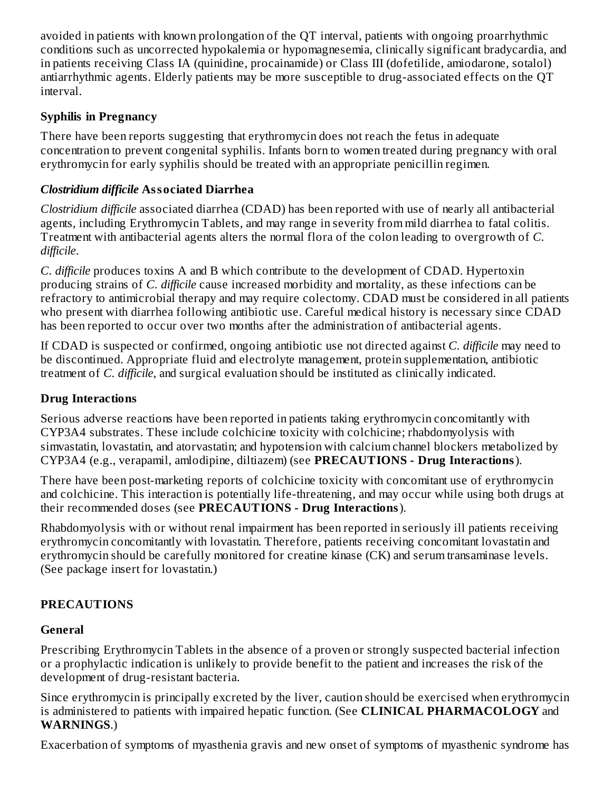avoided in patients with known prolongation of the QT interval, patients with ongoing proarrhythmic conditions such as uncorrected hypokalemia or hypomagnesemia, clinically significant bradycardia, and in patients receiving Class IA (quinidine, procainamide) or Class III (dofetilide, amiodarone, sotalol) antiarrhythmic agents. Elderly patients may be more susceptible to drug-associated effects on the QT interval.

# **Syphilis in Pregnancy**

There have been reports suggesting that erythromycin does not reach the fetus in adequate concentration to prevent congenital syphilis. Infants born to women treated during pregnancy with oral erythromycin for early syphilis should be treated with an appropriate penicillin regimen.

# *Clostridium difficile* **Associated Diarrhea**

*Clostridium difficile* associated diarrhea (CDAD) has been reported with use of nearly all antibacterial agents, including Erythromycin Tablets, and may range in severity from mild diarrhea to fatal colitis. Treatment with antibacterial agents alters the normal flora of the colon leading to overgrowth of *C. difficile*.

*C. difficile* produces toxins A and B which contribute to the development of CDAD. Hypertoxin producing strains of *C. difficile* cause increased morbidity and mortality, as these infections can be refractory to antimicrobial therapy and may require colectomy. CDAD must be considered in all patients who present with diarrhea following antibiotic use. Careful medical history is necessary since CDAD has been reported to occur over two months after the administration of antibacterial agents.

If CDAD is suspected or confirmed, ongoing antibiotic use not directed against *C. difficile* may need to be discontinued. Appropriate fluid and electrolyte management, protein supplementation, antibiotic treatment of *C. difficile*, and surgical evaluation should be instituted as clinically indicated.

# **Drug Interactions**

Serious adverse reactions have been reported in patients taking erythromycin concomitantly with CYP3A4 substrates. These include colchicine toxicity with colchicine; rhabdomyolysis with simvastatin, lovastatin, and atorvastatin; and hypotension with calcium channel blockers metabolized by CYP3A4 (e.g., verapamil, amlodipine, diltiazem) (see **PRECAUTIONS - Drug Interactions**).

There have been post-marketing reports of colchicine toxicity with concomitant use of erythromycin and colchicine. This interaction is potentially life-threatening, and may occur while using both drugs at their recommended doses (see **PRECAUTIONS - Drug Interactions**).

Rhabdomyolysis with or without renal impairment has been reported in seriously ill patients receiving erythromycin concomitantly with lovastatin. Therefore, patients receiving concomitant lovastatin and erythromycin should be carefully monitored for creatine kinase (CK) and serum transaminase levels. (See package insert for lovastatin.)

# **PRECAUTIONS**

# **General**

Prescribing Erythromycin Tablets in the absence of a proven or strongly suspected bacterial infection or a prophylactic indication is unlikely to provide benefit to the patient and increases the risk of the development of drug-resistant bacteria.

Since erythromycin is principally excreted by the liver, caution should be exercised when erythromycin is administered to patients with impaired hepatic function. (See **CLINICAL PHARMACOLOGY** and **WARNINGS**.)

Exacerbation of symptoms of myasthenia gravis and new onset of symptoms of myasthenic syndrome has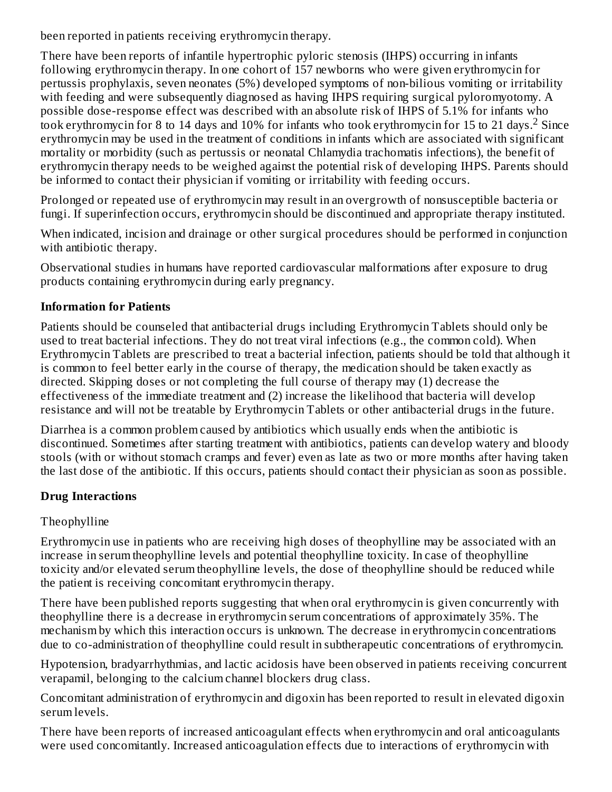been reported in patients receiving erythromycin therapy.

There have been reports of infantile hypertrophic pyloric stenosis (IHPS) occurring in infants following erythromycin therapy. In one cohort of 157 newborns who were given erythromycin for pertussis prophylaxis, seven neonates (5%) developed symptoms of non-bilious vomiting or irritability with feeding and were subsequently diagnosed as having IHPS requiring surgical pyloromyotomy. A possible dose-response effect was described with an absolute risk of IHPS of 5.1% for infants who took erythromycin for 8 to 14 days and 10% for infants who took erythromycin for 15 to 21 days. $^2$  Since erythromycin may be used in the treatment of conditions in infants which are associated with significant mortality or morbidity (such as pertussis or neonatal Chlamydia trachomatis infections), the benefit of erythromycin therapy needs to be weighed against the potential risk of developing IHPS. Parents should be informed to contact their physician if vomiting or irritability with feeding occurs.

Prolonged or repeated use of erythromycin may result in an overgrowth of nonsusceptible bacteria or fungi. If superinfection occurs, erythromycin should be discontinued and appropriate therapy instituted.

When indicated, incision and drainage or other surgical procedures should be performed in conjunction with antibiotic therapy.

Observational studies in humans have reported cardiovascular malformations after exposure to drug products containing erythromycin during early pregnancy.

# **Information for Patients**

Patients should be counseled that antibacterial drugs including Erythromycin Tablets should only be used to treat bacterial infections. They do not treat viral infections (e.g., the common cold). When Erythromycin Tablets are prescribed to treat a bacterial infection, patients should be told that although it is common to feel better early in the course of therapy, the medication should be taken exactly as directed. Skipping doses or not completing the full course of therapy may (1) decrease the effectiveness of the immediate treatment and (2) increase the likelihood that bacteria will develop resistance and will not be treatable by Erythromycin Tablets or other antibacterial drugs in the future.

Diarrhea is a common problem caused by antibiotics which usually ends when the antibiotic is discontinued. Sometimes after starting treatment with antibiotics, patients can develop watery and bloody stools (with or without stomach cramps and fever) even as late as two or more months after having taken the last dose of the antibiotic. If this occurs, patients should contact their physician as soon as possible.

# **Drug Interactions**

# Theophylline

Erythromycin use in patients who are receiving high doses of theophylline may be associated with an increase in serum theophylline levels and potential theophylline toxicity. In case of theophylline toxicity and/or elevated serum theophylline levels, the dose of theophylline should be reduced while the patient is receiving concomitant erythromycin therapy.

There have been published reports suggesting that when oral erythromycin is given concurrently with theophylline there is a decrease in erythromycin serum concentrations of approximately 35%. The mechanism by which this interaction occurs is unknown. The decrease in erythromycin concentrations due to co-administration of theophylline could result in subtherapeutic concentrations of erythromycin.

Hypotension, bradyarrhythmias, and lactic acidosis have been observed in patients receiving concurrent verapamil, belonging to the calcium channel blockers drug class.

Concomitant administration of erythromycin and digoxin has been reported to result in elevated digoxin serum levels.

There have been reports of increased anticoagulant effects when erythromycin and oral anticoagulants were used concomitantly. Increased anticoagulation effects due to interactions of erythromycin with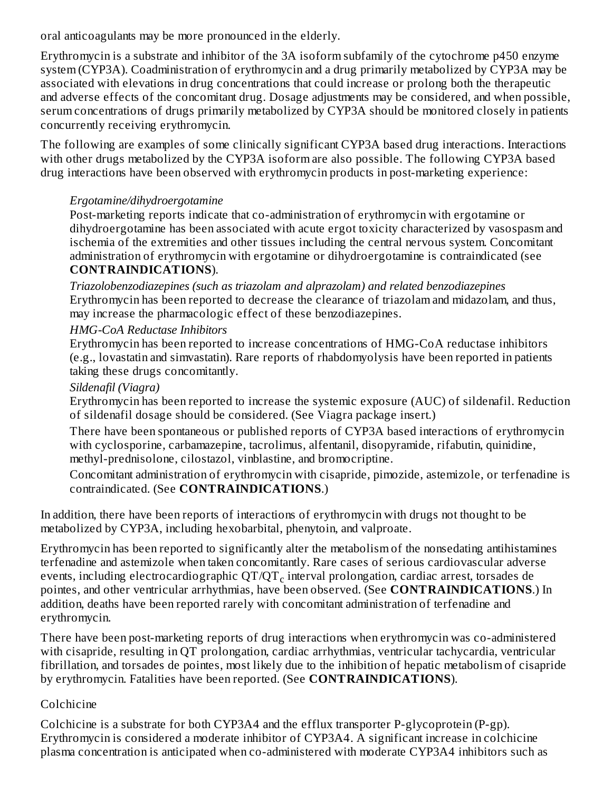oral anticoagulants may be more pronounced in the elderly.

Erythromycin is a substrate and inhibitor of the 3A isoform subfamily of the cytochrome p450 enzyme system (CYP3A). Coadministration of erythromycin and a drug primarily metabolized by CYP3A may be associated with elevations in drug concentrations that could increase or prolong both the therapeutic and adverse effects of the concomitant drug. Dosage adjustments may be considered, and when possible, serum concentrations of drugs primarily metabolized by CYP3A should be monitored closely in patients concurrently receiving erythromycin.

The following are examples of some clinically significant CYP3A based drug interactions. Interactions with other drugs metabolized by the CYP3A isoform are also possible. The following CYP3A based drug interactions have been observed with erythromycin products in post-marketing experience:

#### *Ergotamine/dihydroergotamine*

Post-marketing reports indicate that co-administration of erythromycin with ergotamine or dihydroergotamine has been associated with acute ergot toxicity characterized by vasospasm and ischemia of the extremities and other tissues including the central nervous system. Concomitant administration of erythromycin with ergotamine or dihydroergotamine is contraindicated (see **CONTRAINDICATIONS**).

*Triazolobenzodiazepines (such as triazolam and alprazolam) and related benzodiazepines* Erythromycin has been reported to decrease the clearance of triazolam and midazolam, and thus, may increase the pharmacologic effect of these benzodiazepines.

#### *HMG-CoA Reductase Inhibitors*

Erythromycin has been reported to increase concentrations of HMG-CoA reductase inhibitors (e.g., lovastatin and simvastatin). Rare reports of rhabdomyolysis have been reported in patients taking these drugs concomitantly.

#### *Sildenafil (Viagra)*

Erythromycin has been reported to increase the systemic exposure (AUC) of sildenafil. Reduction of sildenafil dosage should be considered. (See Viagra package insert.)

There have been spontaneous or published reports of CYP3A based interactions of erythromycin with cyclosporine, carbamazepine, tacrolimus, alfentanil, disopyramide, rifabutin, quinidine, methyl-prednisolone, cilostazol, vinblastine, and bromocriptine.

Concomitant administration of erythromycin with cisapride, pimozide, astemizole, or terfenadine is contraindicated. (See **CONTRAINDICATIONS**.)

In addition, there have been reports of interactions of erythromycin with drugs not thought to be metabolized by CYP3A, including hexobarbital, phenytoin, and valproate.

Erythromycin has been reported to significantly alter the metabolism of the nonsedating antihistamines terfenadine and astemizole when taken concomitantly. Rare cases of serious cardiovascular adverse events, including electrocardiographic QT/QT $_{\rm c}$  interval prolongation, cardiac arrest, torsades de pointes, and other ventricular arrhythmias, have been observed. (See **CONTRAINDICATIONS**.) In addition, deaths have been reported rarely with concomitant administration of terfenadine and erythromycin.

There have been post-marketing reports of drug interactions when erythromycin was co-administered with cisapride, resulting in QT prolongation, cardiac arrhythmias, ventricular tachycardia, ventricular fibrillation, and torsades de pointes, most likely due to the inhibition of hepatic metabolism of cisapride by erythromycin. Fatalities have been reported. (See **CONTRAINDICATIONS**).

# Colchicine

Colchicine is a substrate for both CYP3A4 and the efflux transporter P-glycoprotein (P-gp). Erythromycin is considered a moderate inhibitor of CYP3A4. A significant increase in colchicine plasma concentration is anticipated when co-administered with moderate CYP3A4 inhibitors such as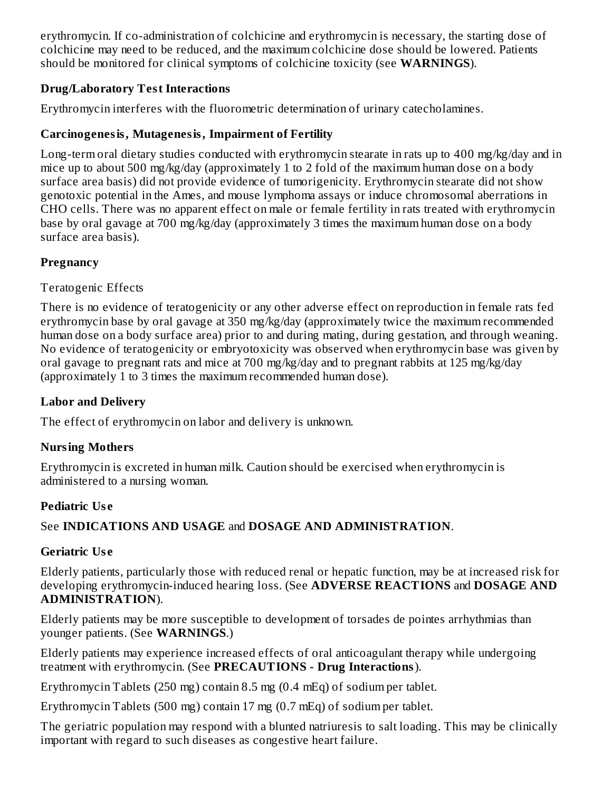erythromycin. If co-administration of colchicine and erythromycin is necessary, the starting dose of colchicine may need to be reduced, and the maximum colchicine dose should be lowered. Patients should be monitored for clinical symptoms of colchicine toxicity (see **WARNINGS**).

#### **Drug/Laboratory Test Interactions**

Erythromycin interferes with the fluorometric determination of urinary catecholamines.

# **Carcinogenesis, Mutagenesis, Impairment of Fertility**

Long-term oral dietary studies conducted with erythromycin stearate in rats up to 400 mg/kg/day and in mice up to about 500 mg/kg/day (approximately 1 to 2 fold of the maximum human dose on a body surface area basis) did not provide evidence of tumorigenicity. Erythromycin stearate did not show genotoxic potential in the Ames, and mouse lymphoma assays or induce chromosomal aberrations in CHO cells. There was no apparent effect on male or female fertility in rats treated with erythromycin base by oral gavage at 700 mg/kg/day (approximately 3 times the maximum human dose on a body surface area basis).

#### **Pregnancy**

#### Teratogenic Effects

There is no evidence of teratogenicity or any other adverse effect on reproduction in female rats fed erythromycin base by oral gavage at 350 mg/kg/day (approximately twice the maximum recommended human dose on a body surface area) prior to and during mating, during gestation, and through weaning. No evidence of teratogenicity or embryotoxicity was observed when erythromycin base was given by oral gavage to pregnant rats and mice at 700 mg/kg/day and to pregnant rabbits at 125 mg/kg/day (approximately 1 to 3 times the maximum recommended human dose).

#### **Labor and Delivery**

The effect of erythromycin on labor and delivery is unknown.

# **Nursing Mothers**

Erythromycin is excreted in human milk. Caution should be exercised when erythromycin is administered to a nursing woman.

# **Pediatric Us e**

# See **INDICATIONS AND USAGE** and **DOSAGE AND ADMINISTRATION**.

# **Geriatric Us e**

Elderly patients, particularly those with reduced renal or hepatic function, may be at increased risk for developing erythromycin-induced hearing loss. (See **ADVERSE REACTIONS** and **DOSAGE AND ADMINISTRATION**).

Elderly patients may be more susceptible to development of torsades de pointes arrhythmias than younger patients. (See **WARNINGS**.)

Elderly patients may experience increased effects of oral anticoagulant therapy while undergoing treatment with erythromycin. (See **PRECAUTIONS - Drug Interactions**).

Erythromycin Tablets (250 mg) contain 8.5 mg (0.4 mEq) of sodium per tablet.

Erythromycin Tablets (500 mg) contain 17 mg (0.7 mEq) of sodium per tablet.

The geriatric population may respond with a blunted natriuresis to salt loading. This may be clinically important with regard to such diseases as congestive heart failure.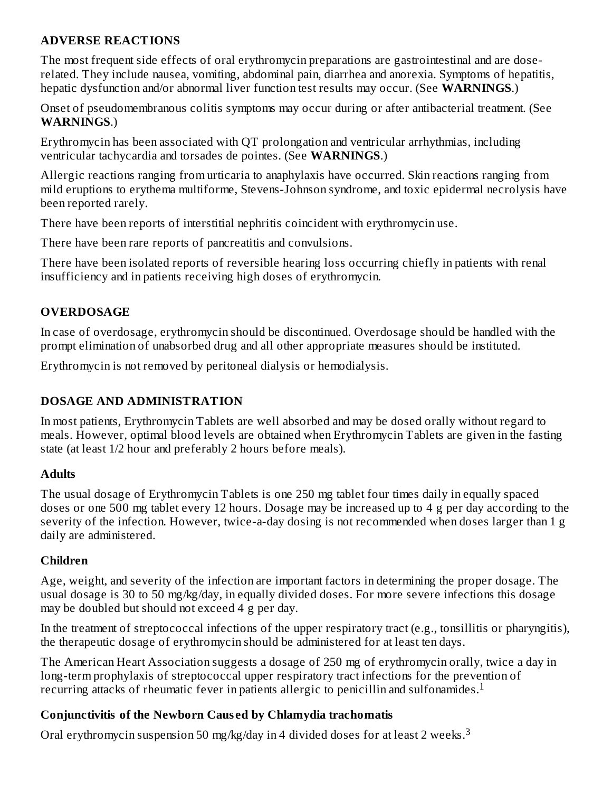#### **ADVERSE REACTIONS**

The most frequent side effects of oral erythromycin preparations are gastrointestinal and are doserelated. They include nausea, vomiting, abdominal pain, diarrhea and anorexia. Symptoms of hepatitis, hepatic dysfunction and/or abnormal liver function test results may occur. (See **WARNINGS**.)

Onset of pseudomembranous colitis symptoms may occur during or after antibacterial treatment. (See **WARNINGS**.)

Erythromycin has been associated with QT prolongation and ventricular arrhythmias, including ventricular tachycardia and torsades de pointes. (See **WARNINGS**.)

Allergic reactions ranging from urticaria to anaphylaxis have occurred. Skin reactions ranging from mild eruptions to erythema multiforme, Stevens-Johnson syndrome, and toxic epidermal necrolysis have been reported rarely.

There have been reports of interstitial nephritis coincident with erythromycin use.

There have been rare reports of pancreatitis and convulsions.

There have been isolated reports of reversible hearing loss occurring chiefly in patients with renal insufficiency and in patients receiving high doses of erythromycin.

# **OVERDOSAGE**

In case of overdosage, erythromycin should be discontinued. Overdosage should be handled with the prompt elimination of unabsorbed drug and all other appropriate measures should be instituted.

Erythromycin is not removed by peritoneal dialysis or hemodialysis.

# **DOSAGE AND ADMINISTRATION**

In most patients, Erythromycin Tablets are well absorbed and may be dosed orally without regard to meals. However, optimal blood levels are obtained when Erythromycin Tablets are given in the fasting state (at least 1/2 hour and preferably 2 hours before meals).

# **Adults**

The usual dosage of Erythromycin Tablets is one 250 mg tablet four times daily in equally spaced doses or one 500 mg tablet every 12 hours. Dosage may be increased up to 4 g per day according to the severity of the infection. However, twice-a-day dosing is not recommended when doses larger than 1 g daily are administered.

# **Children**

Age, weight, and severity of the infection are important factors in determining the proper dosage. The usual dosage is 30 to 50 mg/kg/day, in equally divided doses. For more severe infections this dosage may be doubled but should not exceed 4 g per day.

In the treatment of streptococcal infections of the upper respiratory tract (e.g., tonsillitis or pharyngitis), the therapeutic dosage of erythromycin should be administered for at least ten days.

The American Heart Association suggests a dosage of 250 mg of erythromycin orally, twice a day in long-term prophylaxis of streptococcal upper respiratory tract infections for the prevention of recurring attacks of rheumatic fever in patients allergic to penicillin and sulfonamides.<sup>1</sup>

# **Conjunctivitis of the Newborn Caus ed by Chlamydia trachomatis**

Oral erythromycin suspension 50 mg/kg/day in 4 divided doses for at least 2 weeks. $^3$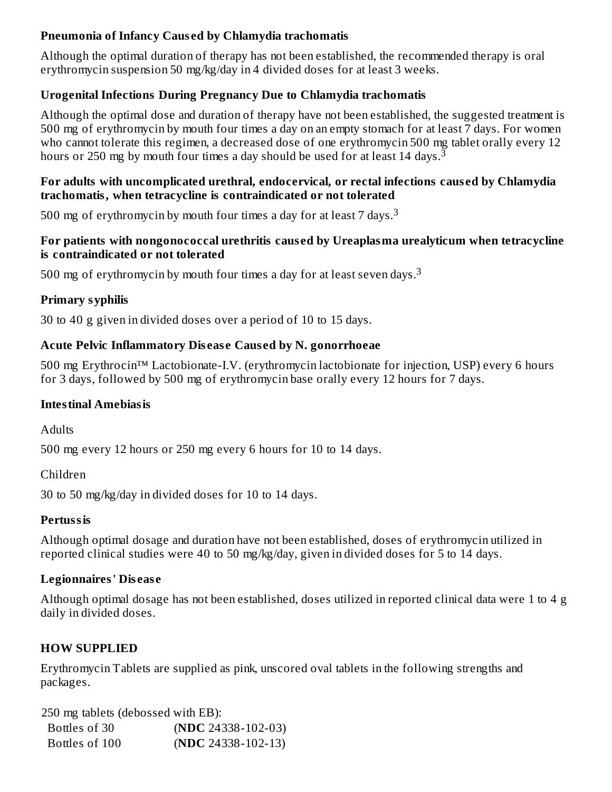#### **Pneumonia of Infancy Caus ed by Chlamydia trachomatis**

Although the optimal duration of therapy has not been established, the recommended therapy is oral erythromycin suspension 50 mg/kg/day in 4 divided doses for at least 3 weeks.

#### **Urogenital Infections During Pregnancy Due to Chlamydia trachomatis**

Although the optimal dose and duration of therapy have not been established, the suggested treatment is 500 mg of erythromycin by mouth four times a day on an empty stomach for at least 7 days. For women who cannot tolerate this regimen, a decreased dose of one erythromycin 500 mg tablet orally every 12 hours or 250 mg by mouth four times a day should be used for at least 14 days.<sup>3</sup>

#### **For adults with uncomplicated urethral, endocervical, or rectal infections caus ed by Chlamydia trachomatis, when tetracycline is contraindicated or not tolerated**

500 mg of erythromycin by mouth four times a day for at least 7 days. $^3$ 

#### **For patients with nongonococcal urethritis caus ed by Ureaplasma urealyticum when tetracycline is contraindicated or not tolerated**

500 mg of erythromycin by mouth four times a day for at least seven days. $^3$ 

#### **Primary syphilis**

30 to 40 g given in divided doses over a period of 10 to 15 days.

#### **Acute Pelvic Inflammatory Dis eas e Caus ed by N. gonorrhoeae**

500 mg Erythrocin™ Lactobionate-I.V. (erythromycin lactobionate for injection, USP) every 6 hours for 3 days, followed by 500 mg of erythromycin base orally every 12 hours for 7 days.

#### **Intestinal Amebiasis**

Adults

500 mg every 12 hours or 250 mg every 6 hours for 10 to 14 days.

Children

30 to 50 mg/kg/day in divided doses for 10 to 14 days.

# **Pertussis**

Although optimal dosage and duration have not been established, doses of erythromycin utilized in reported clinical studies were 40 to 50 mg/kg/day, given in divided doses for 5 to 14 days.

# **Legionnaires' Dis eas e**

Although optimal dosage has not been established, doses utilized in reported clinical data were 1 to 4 g daily in divided doses.

# **HOW SUPPLIED**

Erythromycin Tablets are supplied as pink, unscored oval tablets in the following strengths and packages.

250 mg tablets (debossed with EB): Bottles of 30 (**NDC** 24338-102-03) Bottles of 100 (**NDC** 24338-102-13)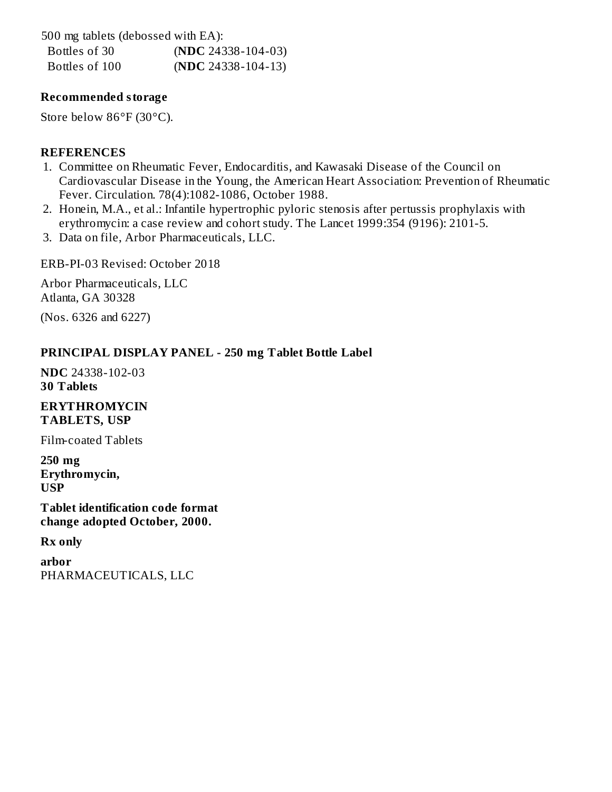500 mg tablets (debossed with EA): Bottles of 30 (**NDC** 24338-104-03) Bottles of 100 (**NDC** 24338-104-13)

#### **Recommended storage**

Store below 86°F (30°C).

#### **REFERENCES**

- 1. Committee on Rheumatic Fever, Endocarditis, and Kawasaki Disease of the Council on Cardiovascular Disease in the Young, the American Heart Association: Prevention of Rheumatic Fever. Circulation. 78(4):1082-1086, October 1988.
- 2. Honein, M.A., et al.: Infantile hypertrophic pyloric stenosis after pertussis prophylaxis with erythromycin: a case review and cohort study. The Lancet 1999:354 (9196): 2101-5.
- 3. Data on file, Arbor Pharmaceuticals, LLC.

ERB-PI-03 Revised: October 2018

Arbor Pharmaceuticals, LLC Atlanta, GA 30328

(Nos. 6326 and 6227)

#### **PRINCIPAL DISPLAY PANEL - 250 mg Tablet Bottle Label**

**NDC** 24338-102-03 **30 Tablets**

#### **ERYTHROMYCIN TABLETS, USP**

Film-coated Tablets

**250 mg Erythromycin, USP**

**Tablet identification code format change adopted October, 2000.**

#### **Rx only**

**arbor** PHARMACEUTICALS, LLC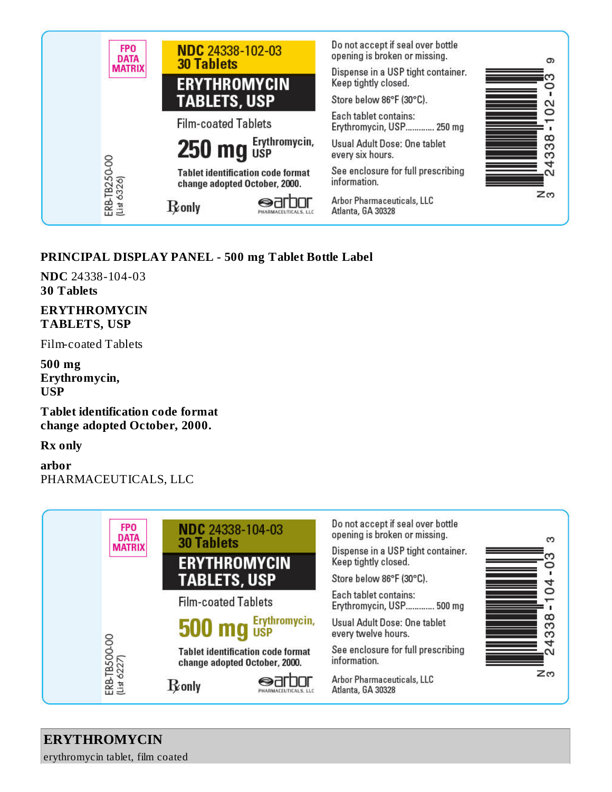

#### **PRINCIPAL DISPLAY PANEL - 500 mg Tablet Bottle Label**

**NDC** 24338-104-03 **30 Tablets**

#### **ERYTHROMYCIN TABLETS, USP**

Film-coated Tablets

**500 mg Erythromycin, USP**

**Tablet identification code format change adopted October, 2000.**

**Rx only**

**arbor** PHARMACEUTICALS, LLC



#### **ERYTHROMYCIN** erythromycin tablet, film coated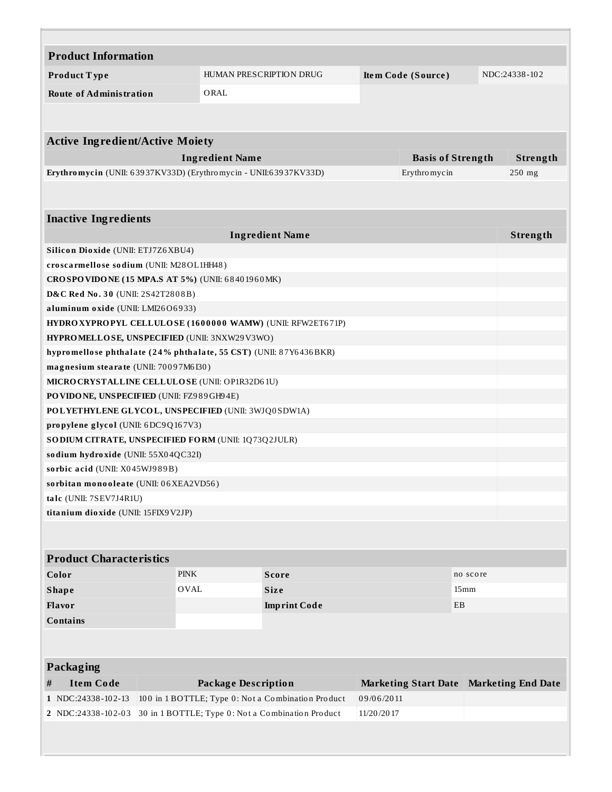| <b>Product Information</b>                                                                                   |                                                           |                                                                   |                                                                  |  |                  |                           |          |
|--------------------------------------------------------------------------------------------------------------|-----------------------------------------------------------|-------------------------------------------------------------------|------------------------------------------------------------------|--|------------------|---------------------------|----------|
| Product Type                                                                                                 | HUMAN PRESCRIPTION DRUG<br>Item Code (Source)             |                                                                   |                                                                  |  | NDC:24338-102    |                           |          |
| <b>Route of Administration</b>                                                                               |                                                           | ORAL                                                              |                                                                  |  |                  |                           |          |
|                                                                                                              |                                                           |                                                                   |                                                                  |  |                  |                           |          |
|                                                                                                              |                                                           |                                                                   |                                                                  |  |                  |                           |          |
| <b>Active Ingredient/Active Moiety</b>                                                                       |                                                           |                                                                   |                                                                  |  |                  |                           |          |
|                                                                                                              |                                                           | <b>Ingredient Name</b>                                            |                                                                  |  |                  |                           | Strength |
| <b>Basis of Strength</b><br>Erythromycin (UNII: 63937KV33D) (Erythromycin - UNII:63937KV33D)<br>Erythromycin |                                                           |                                                                   |                                                                  |  |                  | 250 mg                    |          |
|                                                                                                              |                                                           |                                                                   |                                                                  |  |                  |                           |          |
|                                                                                                              |                                                           |                                                                   |                                                                  |  |                  |                           |          |
| <b>Inactive Ingredients</b>                                                                                  |                                                           |                                                                   |                                                                  |  |                  |                           |          |
|                                                                                                              |                                                           |                                                                   | <b>Ingredient Name</b>                                           |  |                  |                           | Strength |
| Silicon Dioxide (UNII: ETJ7Z6XBU4)                                                                           |                                                           |                                                                   |                                                                  |  |                  |                           |          |
| croscarmellose sodium (UNII: M28OL1HH48)                                                                     |                                                           |                                                                   |                                                                  |  |                  |                           |          |
|                                                                                                              |                                                           | CROSPOVIDONE (15 MPA.S AT 5%) (UNII: 68401960MK)                  |                                                                  |  |                  |                           |          |
| D&C Red No. 30 (UNII: 2S42T2808B)                                                                            |                                                           |                                                                   |                                                                  |  |                  |                           |          |
| aluminum oxide (UNII: LMI26O6933)                                                                            |                                                           |                                                                   |                                                                  |  |                  |                           |          |
| HYDRO XYPROPYL CELLULOSE (1600000 WAMW) (UNII: RFW2ET671P)                                                   |                                                           |                                                                   |                                                                  |  |                  |                           |          |
| HYPROMELLOSE, UNSPECIFIED (UNII: 3NXW29V3WO)                                                                 |                                                           |                                                                   |                                                                  |  |                  |                           |          |
|                                                                                                              |                                                           | hypromellose phthalate (24% phthalate, 55 CST) (UNII: 87Y6436BKR) |                                                                  |  |                  |                           |          |
| magnesium stearate (UNII: 70097M6I30)                                                                        |                                                           |                                                                   |                                                                  |  |                  |                           |          |
|                                                                                                              |                                                           | MICRO CRYSTALLINE CELLULO SE (UNII: OP1R32D61U)                   |                                                                  |  |                  |                           |          |
| <b>PO VIDONE, UNSPECIFIED (UNII: FZ989GH94E)</b>                                                             |                                                           |                                                                   |                                                                  |  |                  |                           |          |
| POLYETHYLENE GLYCOL, UNSPECIFIED (UNII: 3WJQ0SDW1A)                                                          |                                                           |                                                                   |                                                                  |  |                  |                           |          |
| propylene glycol (UNII: 6DC9Q167V3)                                                                          |                                                           |                                                                   |                                                                  |  |                  |                           |          |
|                                                                                                              |                                                           | SO DIUM CITRATE, UNSPECIFIED FORM (UNII: 1Q73Q2JULR)              |                                                                  |  |                  |                           |          |
| sodium hydroxide (UNII: 55X04QC32I)                                                                          |                                                           |                                                                   |                                                                  |  |                  |                           |          |
| sorbic acid (UNII: X045WJ989B)                                                                               |                                                           |                                                                   |                                                                  |  |                  |                           |          |
| sorbitan monooleate (UNII: 06XEA2VD56)<br>talc (UNII: 7SEV7J4R1U)                                            |                                                           |                                                                   |                                                                  |  |                  |                           |          |
| titanium dioxide (UNII: 15FIX9V2JP)                                                                          |                                                           |                                                                   |                                                                  |  |                  |                           |          |
|                                                                                                              |                                                           |                                                                   |                                                                  |  |                  |                           |          |
|                                                                                                              |                                                           |                                                                   |                                                                  |  |                  |                           |          |
| <b>Product Characteristics</b>                                                                               |                                                           |                                                                   |                                                                  |  |                  |                           |          |
| Color                                                                                                        |                                                           | <b>PINK</b>                                                       | <b>Score</b>                                                     |  |                  | no score                  |          |
| <b>Shape</b>                                                                                                 |                                                           | <b>OVAL</b>                                                       | <b>Size</b>                                                      |  | 15 <sub>mm</sub> |                           |          |
| Flavor                                                                                                       |                                                           |                                                                   | EB<br><b>Imprint Code</b>                                        |  |                  |                           |          |
| <b>Contains</b>                                                                                              |                                                           |                                                                   |                                                                  |  |                  |                           |          |
|                                                                                                              |                                                           |                                                                   |                                                                  |  |                  |                           |          |
|                                                                                                              |                                                           |                                                                   |                                                                  |  |                  |                           |          |
| <b>Packaging</b>                                                                                             |                                                           |                                                                   |                                                                  |  |                  |                           |          |
| <b>Item Code</b><br>#                                                                                        | <b>Package Description</b><br><b>Marketing Start Date</b> |                                                                   |                                                                  |  |                  | <b>Marketing End Date</b> |          |
| 1 NDC:24338-102-13                                                                                           |                                                           |                                                                   | 100 in 1 BOTTLE; Type 0: Not a Combination Product<br>09/06/2011 |  |                  |                           |          |
| 2 NDC:24338-102-03                                                                                           |                                                           | 30 in 1 BOTTLE; Type 0: Not a Combination Product                 | 11/20/2017                                                       |  |                  |                           |          |
|                                                                                                              |                                                           |                                                                   |                                                                  |  |                  |                           |          |
|                                                                                                              |                                                           |                                                                   |                                                                  |  |                  |                           |          |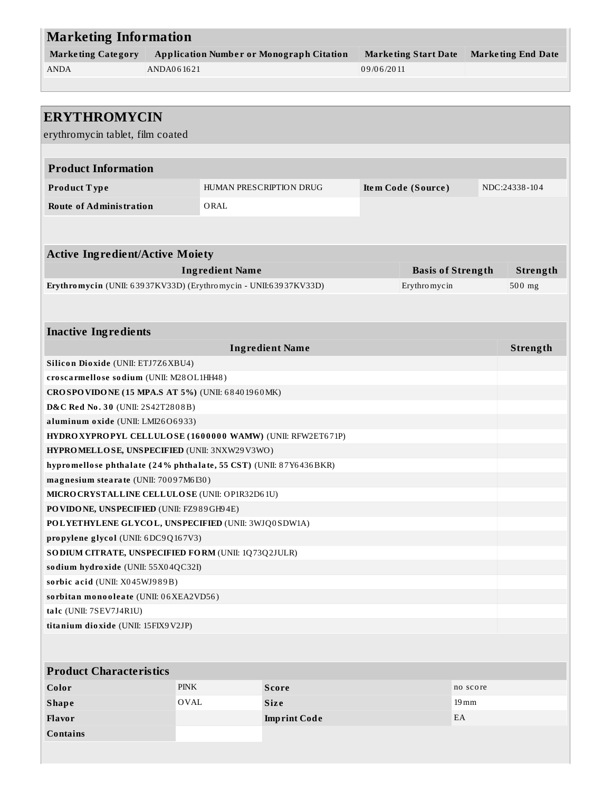| <b>Marketing Information</b>                                          |                                                  |                                                                   |                             |                                          |  |                           |  |
|-----------------------------------------------------------------------|--------------------------------------------------|-------------------------------------------------------------------|-----------------------------|------------------------------------------|--|---------------------------|--|
| <b>Marketing Category</b>                                             | <b>Application Number or Monograph Citation</b>  |                                                                   | <b>Marketing Start Date</b> |                                          |  | <b>Marketing End Date</b> |  |
| ANDA                                                                  | ANDA061621                                       |                                                                   | 09/06/2011                  |                                          |  |                           |  |
|                                                                       |                                                  |                                                                   |                             |                                          |  |                           |  |
|                                                                       |                                                  |                                                                   |                             |                                          |  |                           |  |
| <b>ERYTHROMYCIN</b>                                                   |                                                  |                                                                   |                             |                                          |  |                           |  |
| erythromycin tablet, film coated                                      |                                                  |                                                                   |                             |                                          |  |                           |  |
|                                                                       |                                                  |                                                                   |                             |                                          |  |                           |  |
| <b>Product Information</b>                                            |                                                  |                                                                   |                             |                                          |  |                           |  |
| Product Type                                                          |                                                  | HUMAN PRESCRIPTION DRUG                                           |                             | Item Code (Source)                       |  | NDC:24338-104             |  |
| <b>Route of Administration</b>                                        |                                                  | ORAL                                                              |                             |                                          |  |                           |  |
|                                                                       |                                                  |                                                                   |                             |                                          |  |                           |  |
|                                                                       |                                                  |                                                                   |                             |                                          |  |                           |  |
| <b>Active Ingredient/Active Moiety</b>                                |                                                  |                                                                   |                             |                                          |  |                           |  |
|                                                                       |                                                  | <b>Ingredient Name</b>                                            |                             |                                          |  | Strength                  |  |
|                                                                       |                                                  | Erythromycin (UNII: 63937KV33D) (Erythromycin - UNII:63937KV33D)  |                             | <b>Basis of Strength</b><br>Erythromycin |  | $500$ mg                  |  |
|                                                                       |                                                  |                                                                   |                             |                                          |  |                           |  |
|                                                                       |                                                  |                                                                   |                             |                                          |  |                           |  |
| <b>Inactive Ingredients</b>                                           |                                                  |                                                                   |                             |                                          |  |                           |  |
|                                                                       |                                                  | <b>Ingredient Name</b>                                            |                             |                                          |  | Strength                  |  |
| Silicon Dioxide (UNII: ETJ7Z6XBU4)                                    |                                                  |                                                                   |                             |                                          |  |                           |  |
| croscarmellose sodium (UNII: M28OL1HH48)                              |                                                  |                                                                   |                             |                                          |  |                           |  |
|                                                                       | CROSPOVIDONE (15 MPA.S AT 5%) (UNII: 68401960MK) |                                                                   |                             |                                          |  |                           |  |
| D&C Red No. 30 (UNII: 2S42T2808B)                                     |                                                  |                                                                   |                             |                                          |  |                           |  |
| aluminum oxide (UNII: LMI26O6933)                                     |                                                  |                                                                   |                             |                                          |  |                           |  |
|                                                                       |                                                  | HYDRO XYPROPYL CELLULOSE (1600000 WAMW) (UNII: RFW2ET671P)        |                             |                                          |  |                           |  |
| HYPROMELLOSE, UNSPECIFIED (UNII: 3NXW29V3WO)                          |                                                  |                                                                   |                             |                                          |  |                           |  |
|                                                                       |                                                  | hypromellose phthalate (24% phthalate, 55 CST) (UNII: 87Y6436BKR) |                             |                                          |  |                           |  |
| magnesium stearate (UNII: 70097M6I30)                                 |                                                  |                                                                   |                             |                                          |  |                           |  |
| MICRO CRYSTALLINE CELLULO SE (UNII: OP1R32D61U)                       |                                                  |                                                                   |                             |                                          |  |                           |  |
| PO VIDONE, UNSPECIFIED (UNII: FZ989GH94E)                             |                                                  |                                                                   |                             |                                          |  |                           |  |
| POLYETHYLENE GLYCOL, UNSPECIFIED (UNII: 3WJQ0SDW1A)                   |                                                  |                                                                   |                             |                                          |  |                           |  |
| propylene glycol (UNII: 6DC9Q167V3)                                   |                                                  |                                                                   |                             |                                          |  |                           |  |
| SO DIUM CITRATE, UNSPECIFIED FORM (UNII: 1Q73Q2JULR)                  |                                                  |                                                                   |                             |                                          |  |                           |  |
| sodium hydroxide (UNII: 55X04QC32I)<br>sorbic acid (UNII: X045WJ989B) |                                                  |                                                                   |                             |                                          |  |                           |  |
| sorbitan monooleate (UNII: 06XEA2VD56)                                |                                                  |                                                                   |                             |                                          |  |                           |  |
| talc (UNII: 7SEV7J4R1U)                                               |                                                  |                                                                   |                             |                                          |  |                           |  |
| titanium dioxide (UNII: 15FIX9V2JP)                                   |                                                  |                                                                   |                             |                                          |  |                           |  |
|                                                                       |                                                  |                                                                   |                             |                                          |  |                           |  |
|                                                                       |                                                  |                                                                   |                             |                                          |  |                           |  |
| <b>Product Characteristics</b>                                        |                                                  |                                                                   |                             |                                          |  |                           |  |

| Color           | PINK | Score               | no score           |
|-----------------|------|---------------------|--------------------|
| <b>Shape</b>    | OVAL | <b>Size</b>         | $19 \,\mathrm{mm}$ |
| Flavor          |      | <b>Imprint Code</b> | EA                 |
| <b>Contains</b> |      |                     |                    |